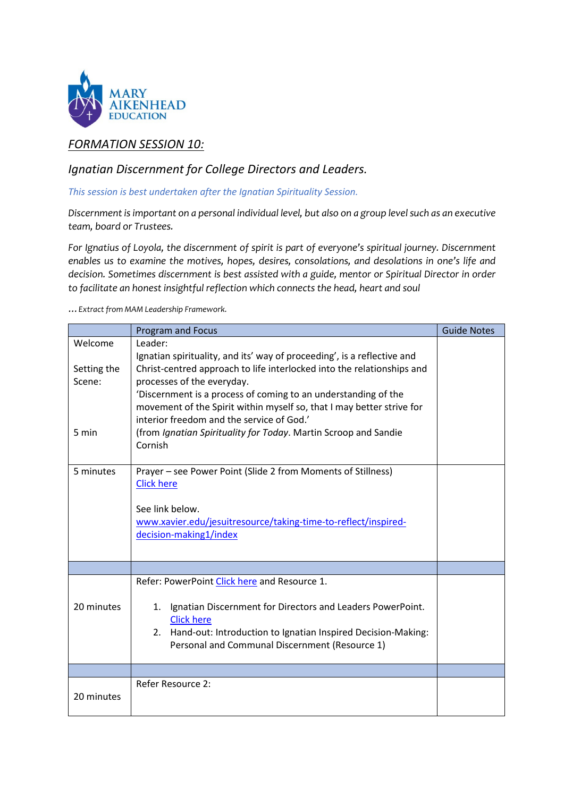

# *FORMATION SESSION 10:*

# *Ignatian Discernment for College Directors and Leaders.*

*This session is best undertaken after the Ignatian Spirituality Session.* 

*Discernment is important on a personal individual level, but also on a group level such as an executive team, board or Trustees.*

*For Ignatius of Loyola, the discernment of spirit is part of everyone's spiritual journey. Discernment enables us to examine the motives, hopes, desires, consolations, and desolations in one's life and decision. Sometimes discernment is best assisted with a guide, mentor or Spiritual Director in order to facilitate an honest insightful reflection which connects the head, heart and soul*

*…Extract from MAM Leadership Framework.* 

|                       | <b>Program and Focus</b>                                                                     | <b>Guide Notes</b> |
|-----------------------|----------------------------------------------------------------------------------------------|--------------------|
| Welcome               | Leader:                                                                                      |                    |
|                       | Ignatian spirituality, and its' way of proceeding', is a reflective and                      |                    |
| Setting the<br>Scene: | Christ-centred approach to life interlocked into the relationships and                       |                    |
|                       | processes of the everyday.<br>'Discernment is a process of coming to an understanding of the |                    |
|                       | movement of the Spirit within myself so, that I may better strive for                        |                    |
|                       | interior freedom and the service of God.'                                                    |                    |
| 5 min                 | (from Ignatian Spirituality for Today. Martin Scroop and Sandie                              |                    |
|                       | Cornish                                                                                      |                    |
| 5 minutes             | Prayer - see Power Point (Slide 2 from Moments of Stillness)                                 |                    |
|                       | <b>Click here</b>                                                                            |                    |
|                       |                                                                                              |                    |
|                       | See link below.                                                                              |                    |
|                       | www.xavier.edu/jesuitresource/taking-time-to-reflect/inspired-                               |                    |
|                       | decision-making1/index                                                                       |                    |
|                       |                                                                                              |                    |
|                       |                                                                                              |                    |
|                       | Refer: PowerPoint Click here and Resource 1.                                                 |                    |
| 20 minutes            | Ignatian Discernment for Directors and Leaders PowerPoint.<br>1.                             |                    |
|                       | <b>Click here</b>                                                                            |                    |
|                       | 2. Hand-out: Introduction to Ignatian Inspired Decision-Making:                              |                    |
|                       | Personal and Communal Discernment (Resource 1)                                               |                    |
|                       |                                                                                              |                    |
|                       |                                                                                              |                    |
| 20 minutes            | <b>Refer Resource 2:</b>                                                                     |                    |
|                       |                                                                                              |                    |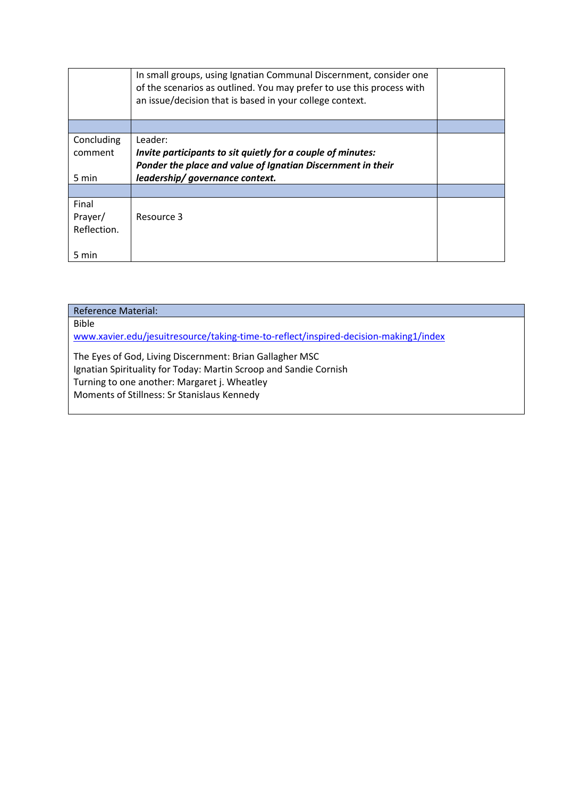|             | In small groups, using Ignatian Communal Discernment, consider one<br>of the scenarios as outlined. You may prefer to use this process with<br>an issue/decision that is based in your college context. |  |
|-------------|---------------------------------------------------------------------------------------------------------------------------------------------------------------------------------------------------------|--|
|             |                                                                                                                                                                                                         |  |
| Concluding  | Leader:                                                                                                                                                                                                 |  |
| comment     | Invite participants to sit quietly for a couple of minutes:                                                                                                                                             |  |
|             | Ponder the place and value of Ignatian Discernment in their                                                                                                                                             |  |
| 5 min       | leadership/governance context.                                                                                                                                                                          |  |
|             |                                                                                                                                                                                                         |  |
| Final       |                                                                                                                                                                                                         |  |
| Prayer/     | Resource 3                                                                                                                                                                                              |  |
| Reflection. |                                                                                                                                                                                                         |  |
|             |                                                                                                                                                                                                         |  |
| 5 min       |                                                                                                                                                                                                         |  |

| <b>Reference Material:</b>                                                                                                    |  |
|-------------------------------------------------------------------------------------------------------------------------------|--|
| <b>Bible</b>                                                                                                                  |  |
| www.xavier.edu/jesuitresource/taking-time-to-reflect/inspired-decision-making1/index                                          |  |
| The Eyes of God, Living Discernment: Brian Gallagher MSC<br>Ignatian Spirituality for Today: Martin Scroop and Sandie Cornish |  |
| Turning to one another: Margaret j. Wheatley                                                                                  |  |
| Moments of Stillness: Sr Stanislaus Kennedy                                                                                   |  |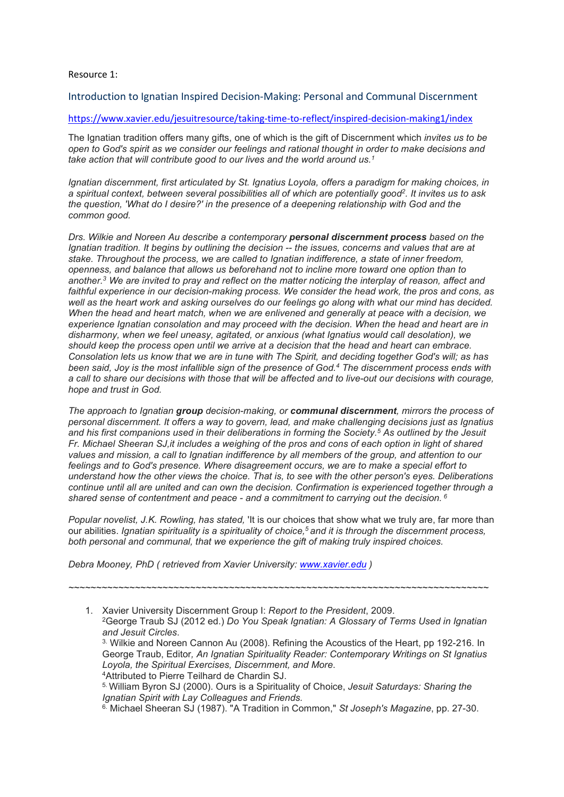## Resource 1:

Introduction to Ignatian Inspired Decision-Making: Personal and Communal Discernment

## <https://www.xavier.edu/jesuitresource/taking-time-to-reflect/inspired-decision-making1/index>

The Ignatian tradition offers many gifts, one of which is the gift of Discernment which *invites us to be open to God's spirit as we consider our feelings and rational thought in order to make decisions and take action that will contribute good to our lives and the world around us.1*

*Ignatian discernment, first articulated by St. Ignatius Loyola, offers a paradigm for making choices, in a spiritual context, between several possibilities all of which are potentially good2. It invites us to ask the question, 'What do I desire?' in the presence of a deepening relationship with God and the common good.*

*Drs. Wilkie and Noreen Au describe a contemporary personal discernment process based on the Ignatian tradition. It begins by outlining the decision -- the issues, concerns and values that are at stake. Throughout the process, we are called to Ignatian indifference, a state of inner freedom, openness, and balance that allows us beforehand not to incline more toward one option than to another.3 We are invited to pray and reflect on the matter noticing the interplay of reason, affect and faithful experience in our decision-making process. We consider the head work, the pros and cons, as well as the heart work and asking ourselves do our feelings go along with what our mind has decided. When the head and heart match, when we are enlivened and generally at peace with a decision, we experience Ignatian consolation and may proceed with the decision. When the head and heart are in disharmony, when we feel uneasy, agitated, or anxious (what Ignatius would call desolation), we should keep the process open until we arrive at a decision that the head and heart can embrace. Consolation lets us know that we are in tune with The Spirit, and deciding together God's will; as has been said, Joy is the most infallible sign of the presence of God.4 The discernment process ends with a call to share our decisions with those that will be affected and to live-out our decisions with courage, hope and trust in God.*

*The approach to Ignatian group decision-making, or communal discernment, mirrors the process of personal discernment. It offers a way to govern, lead, and make challenging decisions just as Ignatius and his first companions used in their deliberations in forming the Society.5 As outlined by the Jesuit Fr. Michael Sheeran SJ,it includes a weighing of the pros and cons of each option in light of shared values and mission, a call to Ignatian indifference by all members of the group, and attention to our feelings and to God's presence. Where disagreement occurs, we are to make a special effort to understand how the other views the choice. That is, to see with the other person's eyes. Deliberations continue until all are united and can own the decision. Confirmation is experienced together through a shared sense of contentment and peace - and a commitment to carrying out the decision. <sup>6</sup>*

*Popular novelist, J.K. Rowling, has stated,* 'It is our choices that show what we truly are, far more than our abilities. *Ignatian spirituality is a spirituality of choice,5 and it is through the discernment process, both personal and communal, that we experience the gift of making truly inspired choices.*

*~~~~~~~~~~~~~~~~~~~~~~~~~~~~~~~~~~~~~~~~~~~~~~~~~~~~~~~~~~~~~~~~~~~~~~~~~~~~*

*Debra Mooney, PhD ( retrieved from Xavier University: [www.xavier.edu](http://www.xavier.edu/) )* 

1. Xavier University Discernment Group I: *Report to the President*, 2009. 2George Traub SJ (2012 ed.) *Do You Speak Ignatian: A Glossary of Terms Used in Ignatian and Jesuit Circles*. 3. Wilkie and Noreen Cannon Au (2008). Refining the Acoustics of the Heart, pp 192-216. In George Traub, Editor*, An Ignatian Spirituality Reader: Contemporary Writings on St Ignatius Loyola, the Spiritual Exercises, Discernment, and More*. 4Attributed to Pierre Teilhard de Chardin SJ. 5. William Byron SJ (2000). Ours is a Spirituality of Choice, *Jesuit Saturdays: Sharing the Ignatian Spirit with Lay Colleagues and Friends.*

6. Michael Sheeran SJ (1987). "A Tradition in Common," *St Joseph's Magazine*, pp. 27-30.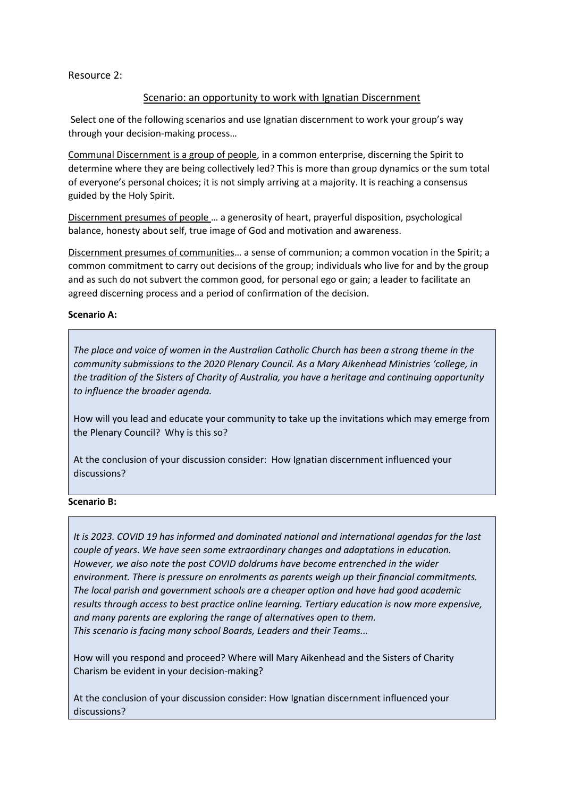Resource 2:

## Scenario: an opportunity to work with Ignatian Discernment

Select one of the following scenarios and use Ignatian discernment to work your group's way through your decision-making process…

Communal Discernment is a group of people, in a common enterprise, discerning the Spirit to determine where they are being collectively led? This is more than group dynamics or the sum total of everyone's personal choices; it is not simply arriving at a majority. It is reaching a consensus guided by the Holy Spirit.

Discernment presumes of people … a generosity of heart, prayerful disposition, psychological balance, honesty about self, true image of God and motivation and awareness.

Discernment presumes of communities… a sense of communion; a common vocation in the Spirit; a common commitment to carry out decisions of the group; individuals who live for and by the group and as such do not subvert the common good, for personal ego or gain; a leader to facilitate an agreed discerning process and a period of confirmation of the decision.

## **Scenario A:**

*The place and voice of women in the Australian Catholic Church has been a strong theme in the community submissions to the 2020 Plenary Council. As a Mary Aikenhead Ministries 'college, in the tradition of the Sisters of Charity of Australia, you have a heritage and continuing opportunity to influence the broader agenda.* 

How will you lead and educate your community to take up the invitations which may emerge from the Plenary Council? Why is this so?

At the conclusion of your discussion consider: How Ignatian discernment influenced your discussions?

## **Scenario B:**

*It is 2023. COVID 19 has informed and dominated national and international agendas for the last couple of years. We have seen some extraordinary changes and adaptations in education. However, we also note the post COVID doldrums have become entrenched in the wider environment. There is pressure on enrolments as parents weigh up their financial commitments. The local parish and government schools are a cheaper option and have had good academic results through access to best practice online learning. Tertiary education is now more expensive, and many parents are exploring the range of alternatives open to them. This scenario is facing many school Boards, Leaders and their Teams...*

How will you respond and proceed? Where will Mary Aikenhead and the Sisters of Charity Charism be evident in your decision-making?

At the conclusion of your discussion consider: How Ignatian discernment influenced your discussions?